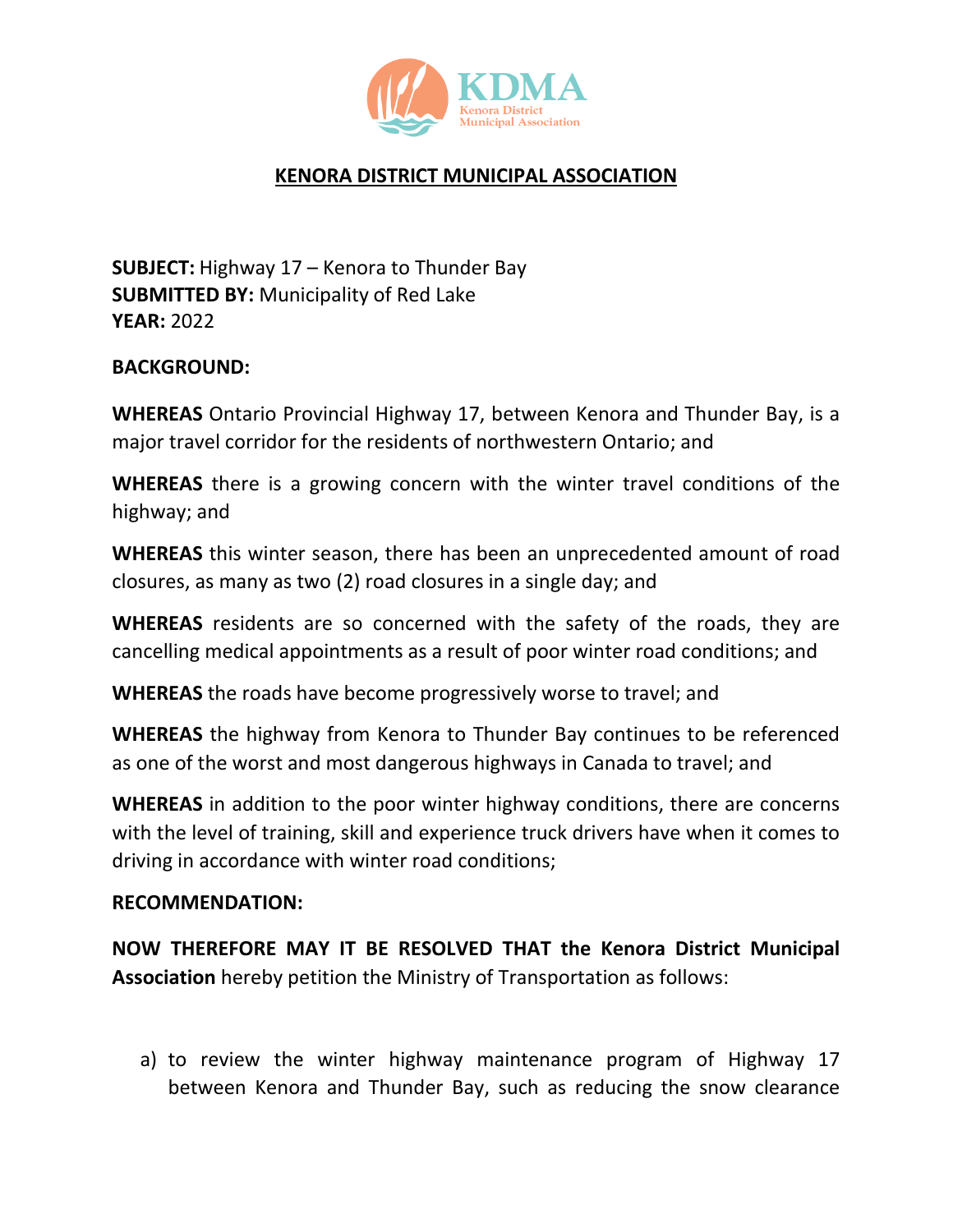

# **KENORA DISTRICT MUNICIPAL ASSOCIATION**

**SUBJECT:** Highway 17 – Kenora to Thunder Bay **SUBMITTED BY:** Municipality of Red Lake **YEAR:** 2022

### **BACKGROUND:**

**WHEREAS** Ontario Provincial Highway 17, between Kenora and Thunder Bay, is a major travel corridor for the residents of northwestern Ontario; and

**WHEREAS** there is a growing concern with the winter travel conditions of the highway; and

**WHEREAS** this winter season, there has been an unprecedented amount of road closures, as many as two (2) road closures in a single day; and

**WHEREAS** residents are so concerned with the safety of the roads, they are cancelling medical appointments as a result of poor winter road conditions; and

**WHEREAS** the roads have become progressively worse to travel; and

**WHEREAS** the highway from Kenora to Thunder Bay continues to be referenced as one of the worst and most dangerous highways in Canada to travel; and

**WHEREAS** in addition to the poor winter highway conditions, there are concerns with the level of training, skill and experience truck drivers have when it comes to driving in accordance with winter road conditions;

### **RECOMMENDATION:**

**NOW THEREFORE MAY IT BE RESOLVED THAT the Kenora District Municipal Association** hereby petition the Ministry of Transportation as follows:

a) to review the winter highway maintenance program of Highway 17 between Kenora and Thunder Bay, such as reducing the snow clearance